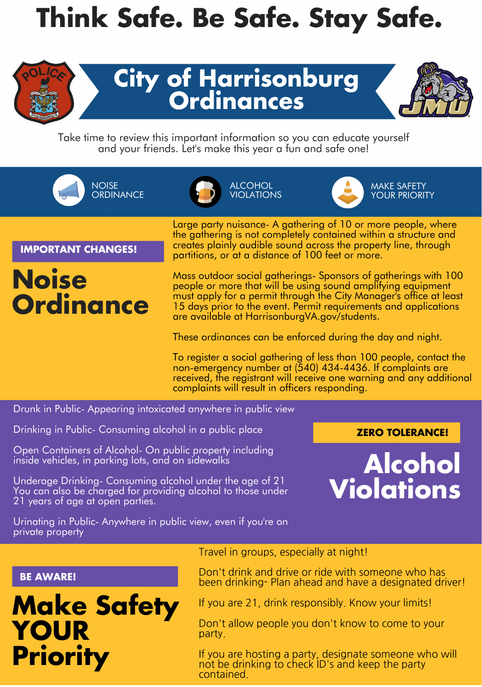# **Think Safe. Be Safe. Stay Safe.**



## **City of Harrisonburg Ordinances**



Take time to review this important information so you can educate yourself and your friends. Let's make this year a fun and safe one!

**NOISE ORDINANCE** 



ALCOHOL VIOLATIONS



MAKE SAFETY YOUR PRIORITY

**IMPORTANT CHANGES!**

## **Noise Ordinance**

Large party nuisance- A gathering of 10 or more people, where the gathering is not completely contained within a structure and creates plainly audible sound across the property line, through partitions, or at a distance of 100 feet or more.

Mass outdoor social gatherings- Sponsors of gatherings with 100 people or more that will be using sound amplifying equipment must apply for a permit through the City Manager's office at least 15 days prior to the event. Permit requirements and applications are available at HarrisonburgVA.gov/students.

These ordinances can be enforced during the day and night.

To register a social gathering of less than 100 people, contact the non-emergency number at (540) 434-4436. If complaints are received, the registrant will receive one warning and any additional complaints will result in officers responding.

Drunk in Public- Appearing intoxicated anywhere in public view

Drinking in Public- Consuming alcohol in a public place

Open Containers of Alcohol- On public property including inside vehicles, in parking lots, and on sidewalks

Underage Drinking- Consuming alcohol under the age of 21 You can also be charged for providing alcohol to those under 21 years of age at open parties.

**ZERO TOLERANCE!**



Urinating in Public- Anywhere in public view, even if you're on private property

#### **BE AWARE!**

## **Make Safety YOUR Priority**

Travel in groups, especially at night!

Don't drink and drive or ride with someone who has been drinking- Plan ahead and have a designated driver!

If you are 21, drink responsibly. Know your limits!

Don't allow people you don't know to come to your party.

**Leave 1 Leave 10 Constanting to check ID's and keep the party** If you are hosting a party, designate someone who will contained.